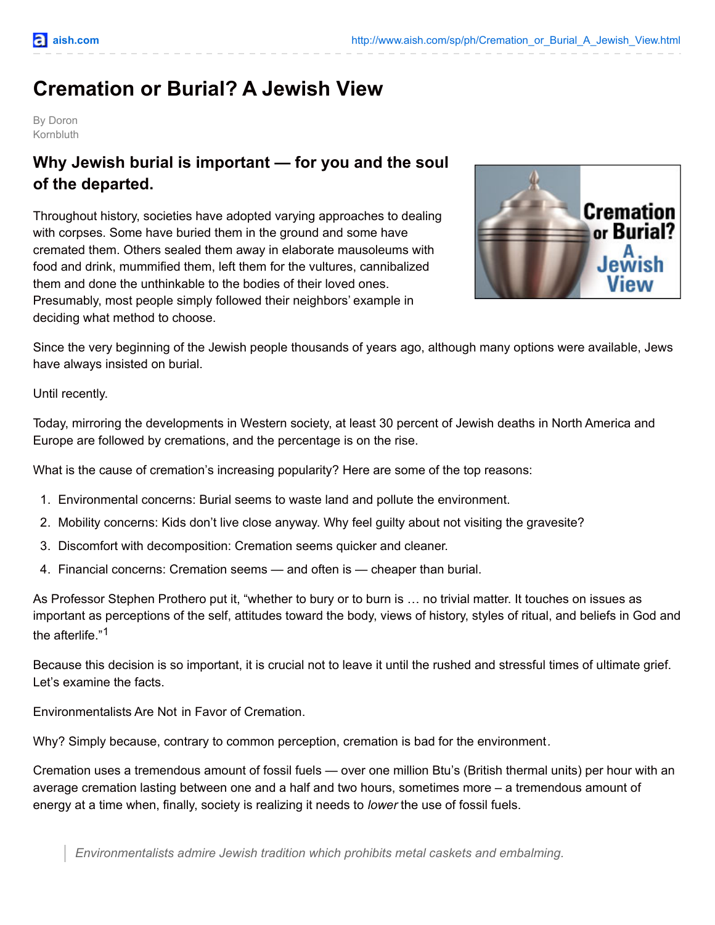# **Cremation or Burial? A Jewish View**

By Doron Kornbluth

# **Why Jewish burial is important — for you and the soul of the departed.**

Throughout history, societies have adopted varying approaches to dealing with corpses. Some have buried them in the ground and some have cremated them. Others sealed them away in elaborate mausoleums with food and drink, mummified them, left them for the vultures, cannibalized them and done the unthinkable to the bodies of their loved ones. Presumably, most people simply followed their neighbors' example in deciding what method to choose.



Since the very beginning of the Jewish people thousands of years ago, although many options were available, Jews have always insisted on burial.

Until recently.

Today, mirroring the developments in Western society, at least 30 percent of Jewish deaths in North America and Europe are followed by cremations, and the percentage is on the rise.

What is the cause of cremation's increasing popularity? Here are some of the top reasons:

- 1. Environmental concerns: Burial seems to waste land and pollute the environment.
- 2. Mobility concerns: Kids don't live close anyway. Why feel guilty about not visiting the gravesite?
- 3. Discomfort with decomposition: Cremation seems quicker and cleaner.
- 4. Financial concerns: Cremation seems and often is cheaper than burial.

As Professor Stephen Prothero put it, "whether to bury or to burn is … no trivial matter. It touches on issues as important as perceptions of the self, attitudes toward the body, views of history, styles of ritual, and beliefs in God and the afterlife." 1

Because this decision is so important, it is crucial not to leave it until the rushed and stressful times of ultimate grief. Let's examine the facts.

Environmentalists Are Not in Favor of Cremation.

Why? Simply because, contrary to common perception, cremation is bad for the environment*.*

Cremation uses a tremendous amount of fossil fuels — over one million Btu's (British thermal units) per hour with an average cremation lasting between one and a half and two hours, sometimes more – a tremendous amount of energy at a time when, finally, society is realizing it needs to *lower* the use of fossil fuels.

*Environmentalists admire Jewish tradition which prohibits metal caskets and embalming.*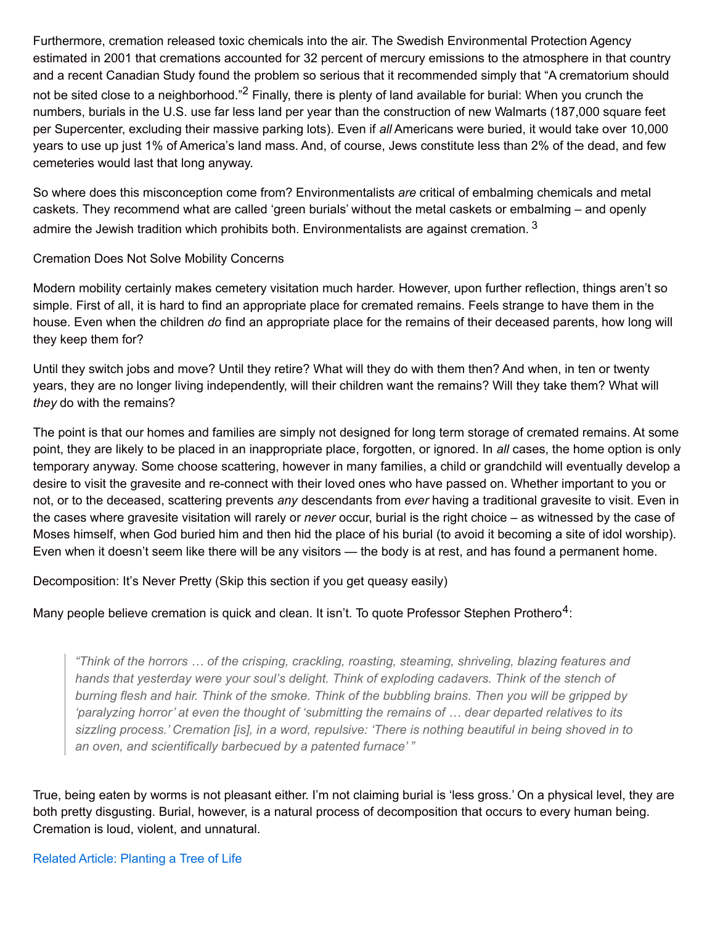Furthermore, cremation released toxic chemicals into the air. The Swedish Environmental Protection Agency estimated in 2001 that cremations accounted for 32 percent of mercury emissions to the atmosphere in that country and a recent Canadian Study found the problem so serious that it recommended simply that "A crematorium should not be sited close to a neighborhood."<sup>2</sup> Finally, there is plenty of land available for burial: When you crunch the numbers, burials in the U.S. use far less land per year than the construction of new Walmarts (187,000 square feet per Supercenter, excluding their massive parking lots). Even if *all* Americans were buried, it would take over 10,000 years to use up just 1% of America's land mass. And, of course, Jews constitute less than 2% of the dead, and few cemeteries would last that long anyway.

So where does this misconception come from? Environmentalists *are* critical of embalming chemicals and metal caskets. They recommend what are called 'green burials' without the metal caskets or embalming – and openly admire the Jewish tradition which prohibits both. Environmentalists are against cremation.  $^3$ 

Cremation Does Not Solve Mobility Concerns

Modern mobility certainly makes cemetery visitation much harder. However, upon further reflection, things aren't so simple. First of all, it is hard to find an appropriate place for cremated remains. Feels strange to have them in the house. Even when the children *do* find an appropriate place for the remains of their deceased parents, how long will they keep them for?

Until they switch jobs and move? Until they retire? What will they do with them then? And when, in ten or twenty years, they are no longer living independently, will their children want the remains? Will they take them? What will *they* do with the remains?

The point is that our homes and families are simply not designed for long term storage of cremated remains. At some point, they are likely to be placed in an inappropriate place, forgotten, or ignored. In *all* cases, the home option is only temporary anyway. Some choose scattering, however in many families, a child or grandchild will eventually develop a desire to visit the gravesite and re-connect with their loved ones who have passed on. Whether important to you or not, or to the deceased, scattering prevents *any* descendants from *ever* having a traditional gravesite to visit. Even in the cases where gravesite visitation will rarely or *never* occur, burial is the right choice – as witnessed by the case of Moses himself, when God buried him and then hid the place of his burial (to avoid it becoming a site of idol worship). Even when it doesn't seem like there will be any visitors — the body is at rest, and has found a permanent home.

Decomposition: It's Never Pretty (Skip this section if you get queasy easily)

Many people believe cremation is quick and clean. It isn't. To quote Professor Stephen Prothero<sup>4</sup>:

*"Think of the horrors … of the crisping, crackling, roasting, steaming, shriveling, blazing features and hands that yesterday were your soul's delight. Think of exploding cadavers. Think of the stench of* burning flesh and hair. Think of the smoke. Think of the bubbling brains. Then you will be gripped by *'paralyzing horror' at even the thought of 'submitting the remains of … dear departed relatives to its* sizzling process.' Cremation [is], in a word, repulsive: 'There is nothing beautiful in being shoved in to *an oven, and scientifically barbecued by a patented furnace' "*

True, being eaten by worms is not pleasant either. I'm not claiming burial is 'less gross.' On a physical level, they are both pretty disgusting. Burial, however, is a natural process of decomposition that occurs to every human being. Cremation is loud, violent, and unnatural.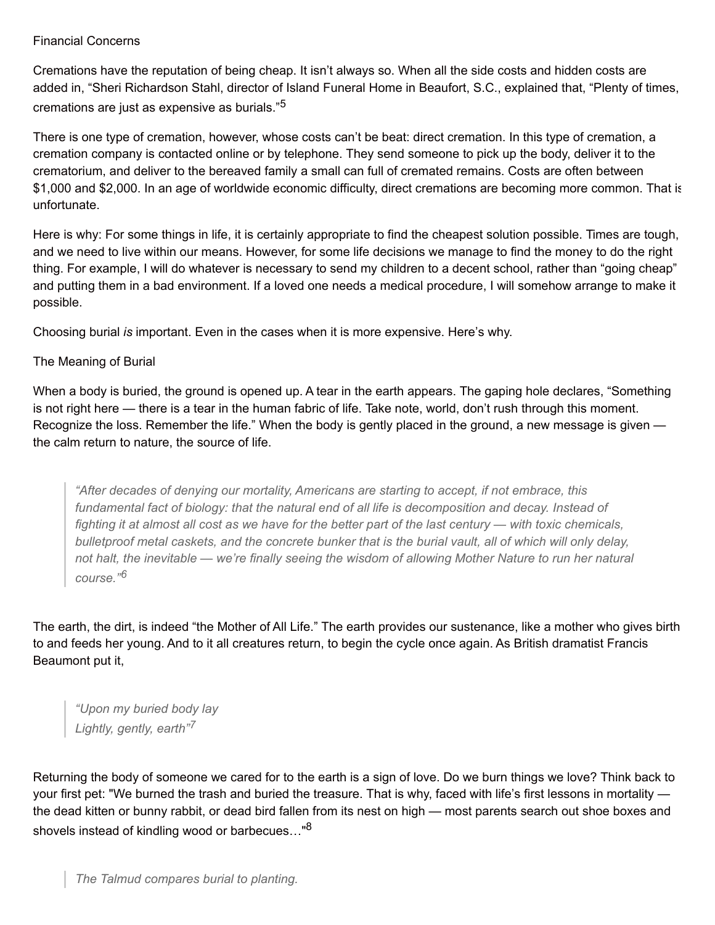#### Financial Concerns

Cremations have the reputation of being cheap. It isn't always so. When all the side costs and hidden costs are added in, "Sheri Richardson Stahl, director of Island Funeral Home in Beaufort, S.C., explained that, "Plenty of times, cremations are just as expensive as burials." 5

There is one type of cremation, however, whose costs can't be beat: direct cremation. In this type of cremation, a cremation company is contacted online or by telephone. They send someone to pick up the body, deliver it to the crematorium, and deliver to the bereaved family a small can full of cremated remains. Costs are often between \$1,000 and \$2,000. In an age of worldwide economic difficulty, direct cremations are becoming more common. That is unfortunate.

Here is why: For some things in life, it is certainly appropriate to find the cheapest solution possible. Times are tough, and we need to live within our means. However, for some life decisions we manage to find the money to do the right thing. For example, I will do whatever is necessary to send my children to a decent school, rather than "going cheap" and putting them in a bad environment. If a loved one needs a medical procedure, I will somehow arrange to make it possible.

Choosing burial *is* important. Even in the cases when it is more expensive. Here's why.

# The Meaning of Burial

When a body is buried, the ground is opened up. A tear in the earth appears. The gaping hole declares, "Something is not right here — there is a tear in the human fabric of life. Take note, world, don't rush through this moment. Recognize the loss. Remember the life." When the body is gently placed in the ground, a new message is given the calm return to nature, the source of life.

*"After decades of denying our mortality, Americans are starting to accept, if not embrace, this fundamental fact of biology: that the natural end of all life is decomposition and decay. Instead of* fighting it at almost all cost as we have for the better part of the last century — with toxic chemicals, bulletproof metal caskets, and the concrete bunker that is the burial vault, all of which will only delay, not halt, the inevitable - we're finally seeing the wisdom of allowing Mother Nature to run her natural *course." 6*

The earth, the dirt, is indeed "the Mother of All Life." The earth provides our sustenance, like a mother who gives birth to and feeds her young. And to it all creatures return, to begin the cycle once again. As British dramatist Francis Beaumont put it,

*"Upon my buried body lay Lightly, gently, earth" 7*

Returning the body of someone we cared for to the earth is a sign of love. Do we burn things we love? Think back to your first pet: "We burned the trash and buried the treasure. That is why, faced with life's first lessons in mortality the dead kitten or bunny rabbit, or dead bird fallen from its nest on high — most parents search out shoe boxes and shovels instead of kindling wood or barbecues..."<sup>8</sup>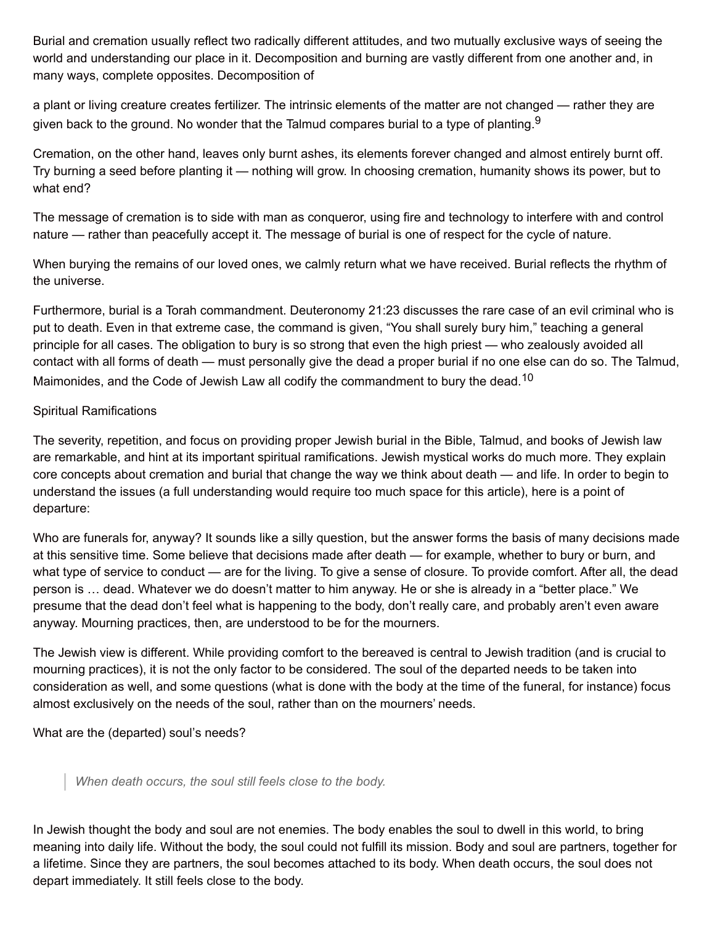Burial and cremation usually reflect two radically different attitudes, and two mutually exclusive ways of seeing the world and understanding our place in it. Decomposition and burning are vastly different from one another and, in many ways, complete opposites. Decomposition of

a plant or living creature creates fertilizer. The intrinsic elements of the matter are not changed — rather they are given back to the ground. No wonder that the Talmud compares burial to a type of planting. $^9$ 

Cremation, on the other hand, leaves only burnt ashes, its elements forever changed and almost entirely burnt off. Try burning a seed before planting it — nothing will grow. In choosing cremation, humanity shows its power, but to what end?

The message of cremation is to side with man as conqueror, using fire and technology to interfere with and control nature — rather than peacefully accept it. The message of burial is one of respect for the cycle of nature.

When burying the remains of our loved ones, we calmly return what we have received. Burial reflects the rhythm of the universe.

Furthermore, burial is a Torah commandment. Deuteronomy 21:23 discusses the rare case of an evil criminal who is put to death. Even in that extreme case, the command is given, "You shall surely bury him," teaching a general principle for all cases. The obligation to bury is so strong that even the high priest — who zealously avoided all contact with all forms of death — must personally give the dead a proper burial if no one else can do so. The Talmud, Maimonides, and the Code of Jewish Law all codify the commandment to bury the dead.<sup>10</sup>

## Spiritual Ramifications

The severity, repetition, and focus on providing proper Jewish burial in the Bible, Talmud, and books of Jewish law are remarkable, and hint at its important spiritual ramifications. Jewish mystical works do much more. They explain core concepts about cremation and burial that change the way we think about death — and life. In order to begin to understand the issues (a full understanding would require too much space for this article), here is a point of departure:

Who are funerals for, anyway? It sounds like a silly question, but the answer forms the basis of many decisions made at this sensitive time. Some believe that decisions made after death — for example, whether to bury or burn, and what type of service to conduct — are for the living. To give a sense of closure. To provide comfort. After all, the dead person is … dead. Whatever we do doesn't matter to him anyway. He or she is already in a "better place." We presume that the dead don't feel what is happening to the body, don't really care, and probably aren't even aware anyway. Mourning practices, then, are understood to be for the mourners.

The Jewish view is different. While providing comfort to the bereaved is central to Jewish tradition (and is crucial to mourning practices), it is not the only factor to be considered. The soul of the departed needs to be taken into consideration as well, and some questions (what is done with the body at the time of the funeral, for instance) focus almost exclusively on the needs of the soul, rather than on the mourners' needs.

What are the (departed) soul's needs?

*When death occurs, the soul still feels close to the body.*

In Jewish thought the body and soul are not enemies. The body enables the soul to dwell in this world, to bring meaning into daily life. Without the body, the soul could not fulfill its mission. Body and soul are partners, together for a lifetime. Since they are partners, the soul becomes attached to its body. When death occurs, the soul does not depart immediately. It still feels close to the body.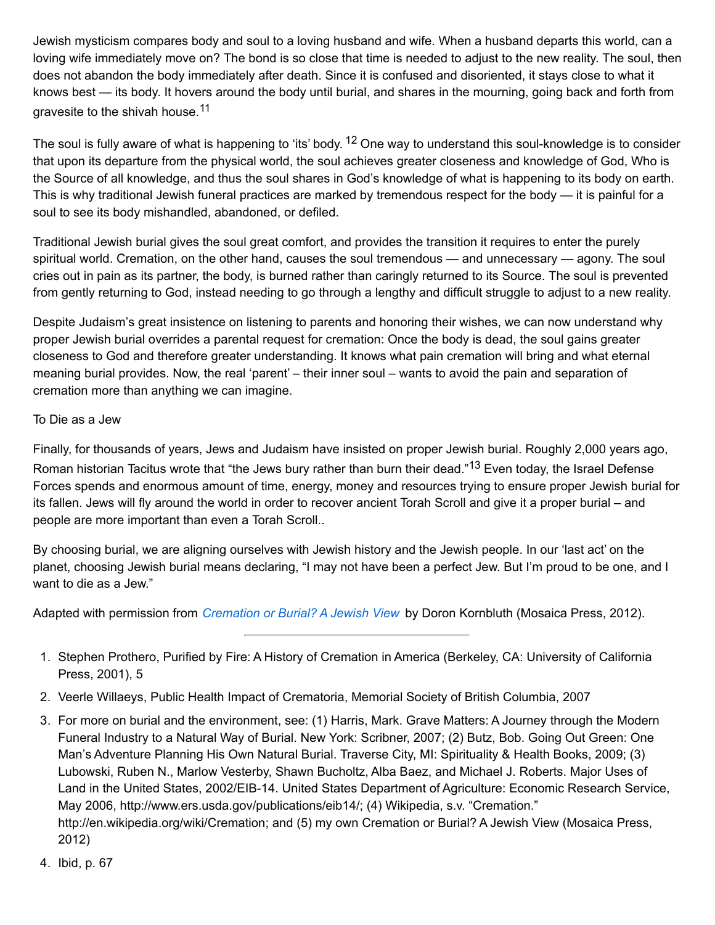Jewish mysticism compares body and soul to a loving husband and wife. When a husband departs this world, can a loving wife immediately move on? The bond is so close that time is needed to adjust to the new reality. The soul, then does not abandon the body immediately after death. Since it is confused and disoriented, it stays close to what it knows best — its body. It hovers around the body until burial, and shares in the mourning, going back and forth from gravesite to the shivah house.<sup>11</sup>

The soul is fully aware of what is happening to 'its' body. <sup>12</sup> One way to understand this soul-knowledge is to consider that upon its departure from the physical world, the soul achieves greater closeness and knowledge of God, Who is the Source of all knowledge, and thus the soul shares in God's knowledge of what is happening to its body on earth. This is why traditional Jewish funeral practices are marked by tremendous respect for the body — it is painful for a soul to see its body mishandled, abandoned, or defiled.

Traditional Jewish burial gives the soul great comfort, and provides the transition it requires to enter the purely spiritual world. Cremation, on the other hand, causes the soul tremendous — and unnecessary — agony. The soul cries out in pain as its partner, the body, is burned rather than caringly returned to its Source. The soul is prevented from gently returning to God, instead needing to go through a lengthy and difficult struggle to adjust to a new reality.

Despite Judaism's great insistence on listening to parents and honoring their wishes, we can now understand why proper Jewish burial overrides a parental request for cremation: Once the body is dead, the soul gains greater closeness to God and therefore greater understanding. It knows what pain cremation will bring and what eternal meaning burial provides. Now, the real 'parent' – their inner soul – wants to avoid the pain and separation of cremation more than anything we can imagine.

## To Die as a Jew

Finally, for thousands of years, Jews and Judaism have insisted on proper Jewish burial. Roughly 2,000 years ago, Roman historian Tacitus wrote that "the Jews bury rather than burn their dead."<sup>13</sup> Even today, the Israel Defense Forces spends and enormous amount of time, energy, money and resources trying to ensure proper Jewish burial for its fallen. Jews will fly around the world in order to recover ancient Torah Scroll and give it a proper burial – and people are more important than even a Torah Scroll..

By choosing burial, we are aligning ourselves with Jewish history and the Jewish people. In our 'last act' on the planet, choosing Jewish burial means declaring, "I may not have been a perfect Jew. But I'm proud to be one, and I want to die as a Jew."

Adapted with permission from *[Cremation](http://www.amazon.com/Cremation-Burial-Jewish-Doron-Kornbluth/dp/1937887014/friendsofaishat) or Burial? A Jewish View* by Doron Kornbluth (Mosaica Press, 2012).

- 1. Stephen Prothero, Purified by Fire: A History of Cremation in America (Berkeley, CA: University of California Press, 2001), 5
- 2. Veerle Willaeys, Public Health Impact of Crematoria, Memorial Society of British Columbia, 2007
- 3. For more on burial and the environment, see: (1) Harris, Mark. Grave Matters: A Journey through the Modern Funeral Industry to a Natural Way of Burial. New York: Scribner, 2007; (2) Butz, Bob. Going Out Green: One Man's Adventure Planning His Own Natural Burial. Traverse City, MI: Spirituality & Health Books, 2009; (3) Lubowski, Ruben N., Marlow Vesterby, Shawn Bucholtz, Alba Baez, and Michael J. Roberts. Major Uses of Land in the United States, 2002/EIB-14. United States Department of Agriculture: Economic Research Service, May 2006, http://www.ers.usda.gov/publications/eib14/; (4) Wikipedia, s.v. "Cremation." http://en.wikipedia.org/wiki/Cremation; and (5) my own Cremation or Burial? A Jewish View (Mosaica Press, 2012)
- 4. Ibid, p. 67